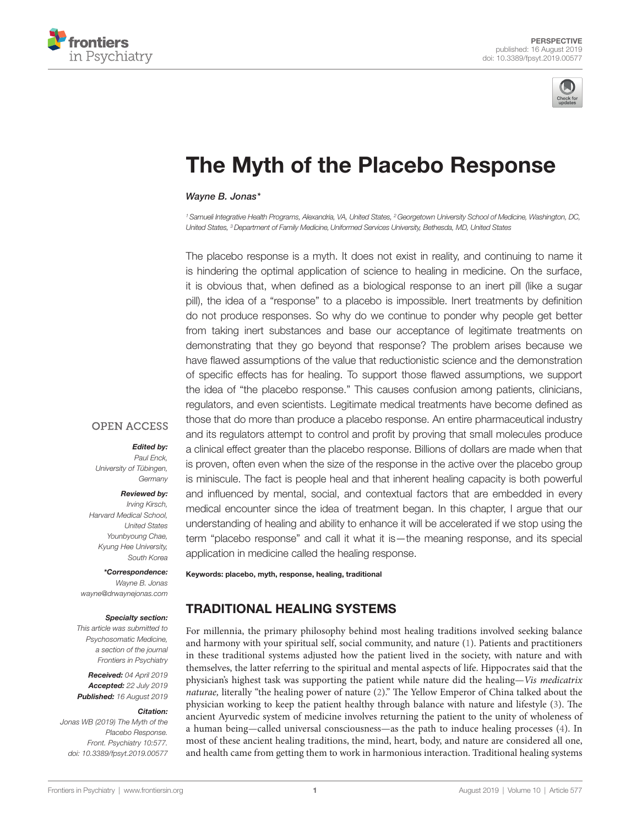



# [The Myth of the Placebo Response](https://www.frontiersin.org/article/10.3389/fpsyt.2019.00577/full)

*[Wayne B. Jonas\\*](https://loop.frontiersin.org/people/696673)*

*1 Samueli Integrative Health Programs, Alexandria, VA, United States, 2 Georgetown University School of Medicine, Washington, DC, United States, 3 Department of Family Medicine,Uniformed Services University, Bethesda, MD, United States*

The placebo response is a myth. It does not exist in reality, and continuing to name it is hindering the optimal application of science to healing in medicine. On the surface, it is obvious that, when defined as a biological response to an inert pill (like a sugar pill), the idea of a "response" to a placebo is impossible. Inert treatments by definition do not produce responses. So why do we continue to ponder why people get better from taking inert substances and base our acceptance of legitimate treatments on demonstrating that they go beyond that response? The problem arises because we have flawed assumptions of the value that reductionistic science and the demonstration of specific effects has for healing. To support those flawed assumptions, we support the idea of "the placebo response." This causes confusion among patients, clinicians, regulators, and even scientists. Legitimate medical treatments have become defined as those that do more than produce a placebo response. An entire pharmaceutical industry and its regulators attempt to control and profit by proving that small molecules produce a clinical effect greater than the placebo response. Billions of dollars are made when that is proven, often even when the size of the response in the active over the placebo group is miniscule. The fact is people heal and that inherent healing capacity is both powerful and influenced by mental, social, and contextual factors that are embedded in every medical encounter since the idea of treatment began. In this chapter, I argue that our understanding of healing and ability to enhance it will be accelerated if we stop using the term "placebo response" and call it what it is—the meaning response, and its special application in medicine called the healing response.

## **OPEN ACCESS**

#### *Edited by:*

*Paul Enck, University of Tübingen, Germany*

#### *Reviewed by:*

*Irving Kirsch, Harvard Medical School, United States Younbyoung Chae, Kyung Hee University, South Korea*

*\*Correspondence: Wayne B. Jonas [wayne@drwaynejonas.com](mailto:wayne@drwaynejonas.com )*

#### *Specialty section:*

*This article was submitted to Psychosomatic Medicine, a section of the journal Frontiers in Psychiatry*

*Received: 04 April 2019 Accepted: 22 July 2019 Published: 16 August 2019*

#### *Citation:*

*Jonas WB (2019) The Myth of the Placebo Response. Front. Psychiatry 10:577. doi: [10.3389/fpsyt.2019.00577](https://doi.org/10.3389/fpsyt.2019.00577)* TRADITIONAL HEALING SYSTEMS

Keywords: placebo, myth, response, healing, traditional

For millennia, the primary philosophy behind most healing traditions involved seeking balance and harmony with your spiritual self, social community, and nature [\(1\)](#page-4-0). Patients and practitioners in these traditional systems adjusted how the patient lived in the society, with nature and with themselves, the latter referring to the spiritual and mental aspects of life. Hippocrates said that the physician's highest task was supporting the patient while nature did the healing—*Vis medicatrix naturae,* literally "the healing power of nature ([2](#page-4-1))." The Yellow Emperor of China talked about the physician working to keep the patient healthy through balance with nature and lifestyle [\(3\)](#page-4-2). The ancient Ayurvedic system of medicine involves returning the patient to the unity of wholeness of a human being—called universal consciousness—as the path to induce healing processes [\(4\)](#page-4-3). In most of these ancient healing traditions, the mind, heart, body, and nature are considered all one, and health came from getting them to work in harmonious interaction. Traditional healing systems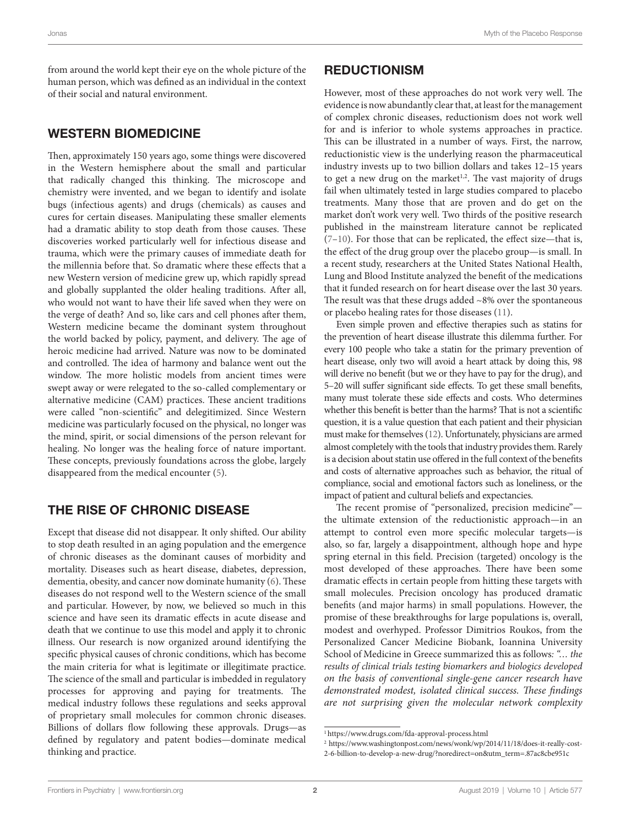from around the world kept their eye on the whole picture of the human person, which was defined as an individual in the context of their social and natural environment.

#### WESTERN BIOMEDICINE

Then, approximately 150 years ago, some things were discovered in the Western hemisphere about the small and particular that radically changed this thinking. The microscope and chemistry were invented, and we began to identify and isolate bugs (infectious agents) and drugs (chemicals) as causes and cures for certain diseases. Manipulating these smaller elements had a dramatic ability to stop death from those causes. These discoveries worked particularly well for infectious disease and trauma, which were the primary causes of immediate death for the millennia before that. So dramatic where these effects that a new Western version of medicine grew up, which rapidly spread and globally supplanted the older healing traditions. After all, who would not want to have their life saved when they were on the verge of death? And so, like cars and cell phones after them, Western medicine became the dominant system throughout the world backed by policy, payment, and delivery. The age of heroic medicine had arrived. Nature was now to be dominated and controlled. The idea of harmony and balance went out the window. The more holistic models from ancient times were swept away or were relegated to the so-called complementary or alternative medicine (CAM) practices. These ancient traditions were called "non-scientific" and delegitimized. Since Western medicine was particularly focused on the physical, no longer was the mind, spirit, or social dimensions of the person relevant for healing. No longer was the healing force of nature important. These concepts, previously foundations across the globe, largely disappeared from the medical encounter [\(5\)](#page-4-4).

#### THE RISE OF CHRONIC DISEASE

Except that disease did not disappear. It only shifted. Our ability to stop death resulted in an aging population and the emergence of chronic diseases as the dominant causes of morbidity and mortality. Diseases such as heart disease, diabetes, depression, dementia, obesity, and cancer now dominate humanity [\(6\)](#page-4-5). These diseases do not respond well to the Western science of the small and particular. However, by now, we believed so much in this science and have seen its dramatic effects in acute disease and death that we continue to use this model and apply it to chronic illness. Our research is now organized around identifying the specific physical causes of chronic conditions, which has become the main criteria for what is legitimate or illegitimate practice. The science of the small and particular is imbedded in regulatory processes for approving and paying for treatments. The medical industry follows these regulations and seeks approval of proprietary small molecules for common chronic diseases. Billions of dollars flow following these approvals. Drugs—as defined by regulatory and patent bodies—dominate medical thinking and practice.

#### **REDUCTIONISM**

However, most of these approaches do not work very well. The evidence is now abundantly clear that, at least for the management of complex chronic diseases, reductionism does not work well for and is inferior to whole systems approaches in practice. This can be illustrated in a number of ways. First, the narrow, reductionistic view is the underlying reason the pharmaceutical industry invests up to two billion dollars and takes 12–15 years to get a new drug on the market<sup>1,2</sup>. The vast majority of drugs fail when ultimately tested in large studies compared to placebo treatments. Many those that are proven and do get on the market don't work very well. Two thirds of the positive research published in the mainstream literature cannot be replicated  $(7-10)$  $(7-10)$ . For those that can be replicated, the effect size—that is, the effect of the drug group over the placebo group—is small. In a recent study, researchers at the United States National Health, Lung and Blood Institute analyzed the benefit of the medications that it funded research on for heart disease over the last 30 years. The result was that these drugs added  $~8\%$  over the spontaneous or placebo healing rates for those diseases [\(11](#page-4-8)).

Even simple proven and effective therapies such as statins for the prevention of heart disease illustrate this dilemma further. For every 100 people who take a statin for the primary prevention of heart disease, only two will avoid a heart attack by doing this, 98 will derive no benefit (but we or they have to pay for the drug), and 5–20 will suffer significant side effects. To get these small benefits, many must tolerate these side effects and costs. Who determines whether this benefit is better than the harms? That is not a scientific question, it is a value question that each patient and their physician must make for themselves [\(12\)](#page-4-9). Unfortunately, physicians are armed almost completely with the tools that industry provides them. Rarely is a decision about statin use offered in the full context of the benefits and costs of alternative approaches such as behavior, the ritual of compliance, social and emotional factors such as loneliness, or the impact of patient and cultural beliefs and expectancies.

The recent promise of "personalized, precision medicine" the ultimate extension of the reductionistic approach—in an attempt to control even more specific molecular targets—is also, so far, largely a disappointment, although hope and hype spring eternal in this field. Precision (targeted) oncology is the most developed of these approaches. There have been some dramatic effects in certain people from hitting these targets with small molecules. Precision oncology has produced dramatic benefits (and major harms) in small populations. However, the promise of these breakthroughs for large populations is, overall, modest and overhyped. Professor Dimitrios Roukos, from the Personalized Cancer Medicine Biobank, Ioannina University School of Medicine in Greece summarized this as follows*: "… the results of clinical trials testing biomarkers and biologics developed on the basis of conventional single-gene cancer research have demonstrated modest, isolated clinical success. These findings are not surprising given the molecular network complexity* 

<sup>1</sup> https://www.drugs.com/fda-approval-process.html

<sup>2</sup> https://www.washingtonpost.com/news/wonk/wp/2014/11/18/does-it-really-cost-

<sup>2-6-</sup>billion-to-develop-a-new-drug/?noredirect=on&utm\_term=.87ac8cbe951c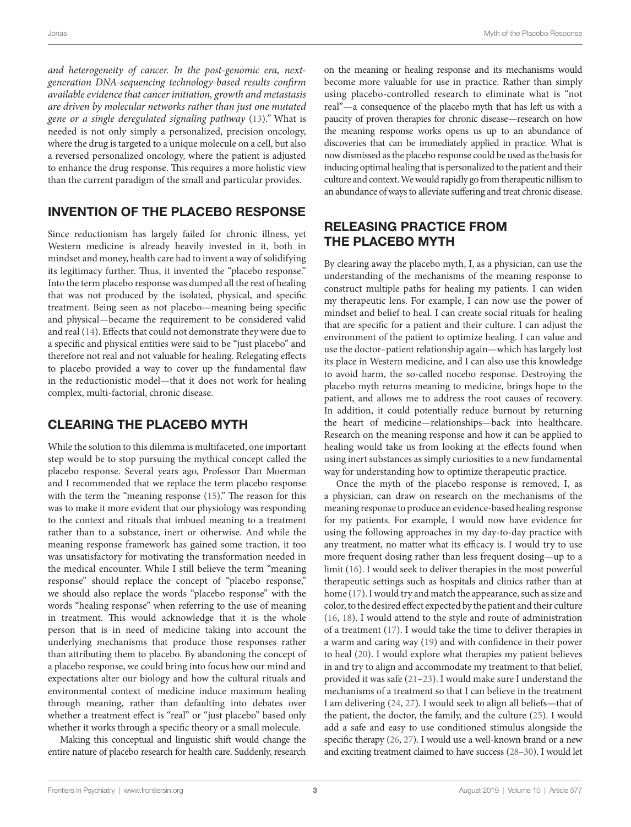Jonas Myth of the Placebo Response

*and heterogeneity of cancer. In the post-genomic era, nextgeneration DNA-sequencing technology-based results confirm available evidence that cancer initiation, growth and metastasis are driven by molecular networks rather than just one mutated gene or a single deregulated signaling pathway* [\(13](#page-4-10))*."* What is needed is not only simply a personalized, precision oncology, where the drug is targeted to a unique molecule on a cell, but also a reversed personalized oncology, where the patient is adjusted to enhance the drug response. This requires a more holistic view than the current paradigm of the small and particular provides.

## INVENTION OF THE PLACEBO RESPONSE

Since reductionism has largely failed for chronic illness, yet Western medicine is already heavily invested in it, both in mindset and money, health care had to invent a way of solidifying its legitimacy further. Thus, it invented the "placebo response." Into the term placebo response was dumped all the rest of healing that was not produced by the isolated, physical, and specific treatment. Being seen as not placebo—meaning being specific and physical—became the requirement to be considered valid and real [\(14](#page-4-11)). Effects that could not demonstrate they were due to a specific and physical entities were said to be "just placebo" and therefore not real and not valuable for healing. Relegating effects to placebo provided a way to cover up the fundamental flaw in the reductionistic model—that it does not work for healing complex, multi-factorial, chronic disease.

#### CLEARING THE PLACEBO MYTH

While the solution to this dilemma is multifaceted, one important step would be to stop pursuing the mythical concept called the placebo response. Several years ago, Professor Dan Moerman and I recommended that we replace the term placebo response with the term the "meaning response ([15\)](#page-4-12)." The reason for this was to make it more evident that our physiology was responding to the context and rituals that imbued meaning to a treatment rather than to a substance, inert or otherwise. And while the meaning response framework has gained some traction, it too was unsatisfactory for motivating the transformation needed in the medical encounter. While I still believe the term "meaning response" should replace the concept of "placebo response," we should also replace the words "placebo response" with the words "healing response" when referring to the use of meaning in treatment. This would acknowledge that it is the whole person that is in need of medicine taking into account the underlying mechanisms that produce those responses rather than attributing them to placebo. By abandoning the concept of a placebo response, we could bring into focus how our mind and expectations alter our biology and how the cultural rituals and environmental context of medicine induce maximum healing through meaning, rather than defaulting into debates over whether a treatment effect is "real" or "just placebo" based only whether it works through a specific theory or a small molecule.

Making this conceptual and linguistic shift would change the entire nature of placebo research for health care. Suddenly, research

on the meaning or healing response and its mechanisms would become more valuable for use in practice. Rather than simply using placebo-controlled research to eliminate what is "not real"—a consequence of the placebo myth that has left us with a paucity of proven therapies for chronic disease—research on how the meaning response works opens us up to an abundance of discoveries that can be immediately applied in practice. What is now dismissed as the placebo response could be used as the basis for inducing optimal healing that is personalized to the patient and their culture and context. We would rapidly go from therapeutic nillism to an abundance of ways to alleviate suffering and treat chronic disease.

## RELEASING PRACTICE FROM THE PLACEBO MYTH

By clearing away the placebo myth, I, as a physician, can use the understanding of the mechanisms of the meaning response to construct multiple paths for healing my patients. I can widen my therapeutic lens. For example, I can now use the power of mindset and belief to heal. I can create social rituals for healing that are specific for a patient and their culture. I can adjust the environment of the patient to optimize healing. I can value and use the doctor–patient relationship again—which has largely lost its place in Western medicine, and I can also use this knowledge to avoid harm, the so-called nocebo response. Destroying the placebo myth returns meaning to medicine, brings hope to the patient, and allows me to address the root causes of recovery. In addition, it could potentially reduce burnout by returning the heart of medicine—relationships—back into healthcare. Research on the meaning response and how it can be applied to healing would take us from looking at the effects found when using inert substances as simply curiosities to a new fundamental way for understanding how to optimize therapeutic practice.

Once the myth of the placebo response is removed, I, as a physician, can draw on research on the mechanisms of the meaning response to produce an evidence-based healing response for my patients. For example, I would now have evidence for using the following approaches in my day-to-day practice with any treatment, no matter what its efficacy is. I would try to use more frequent dosing rather than less frequent dosing—up to a limit [\(16](#page-4-13)). I would seek to deliver therapies in the most powerful therapeutic settings such as hospitals and clinics rather than at home [\(17](#page-4-14)). I would try and match the appearance, such as size and color, to the desired effect expected by the patient and their culture [\(16](#page-4-13), [18](#page-4-15)). I would attend to the style and route of administration of a treatment [\(17](#page-4-14)). I would take the time to deliver therapies in a warm and caring way [\(19\)](#page-4-16) and with confidence in their power to heal ([20\)](#page-4-17). I would explore what therapies my patient believes in and try to align and accommodate my treatment to that belief, provided it was safe [\(21](#page-4-18)[–23](#page-4-19)). I would make sure I understand the mechanisms of a treatment so that I can believe in the treatment I am delivering [\(24](#page-4-20), 27). I would seek to align all beliefs—that of the patient, the doctor, the family, and the culture ([25\)](#page-4-21). I would add a safe and easy to use conditioned stimulus alongside the specific therapy [\(26,](#page-4-22) [27\)](#page-4-23). I would use a well-known brand or a new and exciting treatment claimed to have success [\(28](#page-4-24)[–30](#page-4-25)). I would let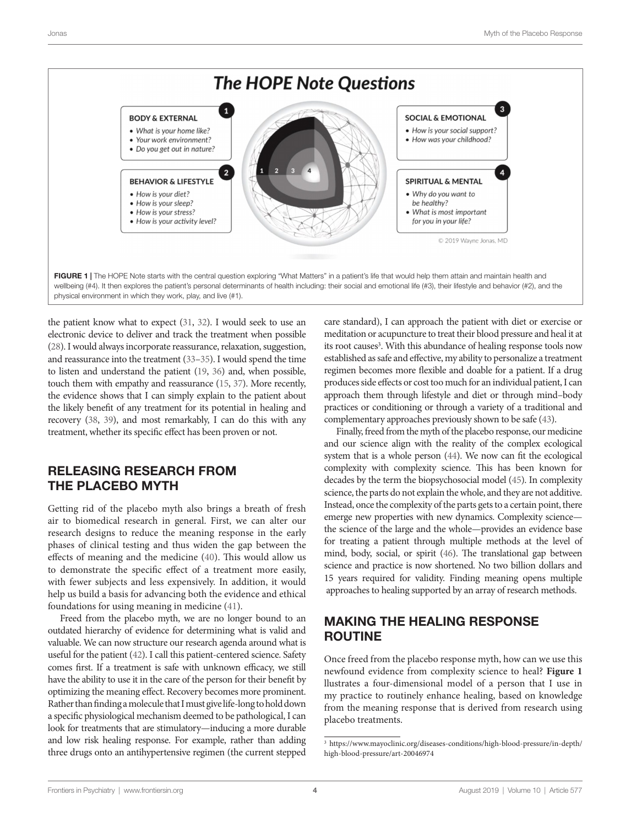

<span id="page-3-0"></span>the patient know what to expect ([31](#page-4-26), [32](#page-5-0)). I would seek to use an electronic device to deliver and track the treatment when possible [\(28\)](#page-4-24). I would always incorporate reassurance, relaxation, suggestion, and reassurance into the treatment ([33](#page-5-1)[–35\)](#page-5-2). I would spend the time to listen and understand the patient [\(19](#page-4-16), [36](#page-5-3)) and, when possible, touch them with empathy and reassurance [\(15,](#page-4-12) [37\)](#page-5-4). More recently, the evidence shows that I can simply explain to the patient about the likely benefit of any treatment for its potential in healing and recovery [\(38](#page-5-5), [39\)](#page-5-6), and most remarkably, I can do this with any treatment, whether its specific effect has been proven or not.

## RELEASING RESEARCH FROM THE PLACEBO MYTH

Getting rid of the placebo myth also brings a breath of fresh air to biomedical research in general. First, we can alter our research designs to reduce the meaning response in the early phases of clinical testing and thus widen the gap between the effects of meaning and the medicine [\(40](#page-5-7)). This would allow us to demonstrate the specific effect of a treatment more easily, with fewer subjects and less expensively. In addition, it would help us build a basis for advancing both the evidence and ethical foundations for using meaning in medicine ([41\)](#page-5-8).

Freed from the placebo myth, we are no longer bound to an outdated hierarchy of evidence for determining what is valid and valuable. We can now structure our research agenda around what is useful for the patient [\(42\)](#page-5-9). I call this patient-centered science. Safety comes first. If a treatment is safe with unknown efficacy, we still have the ability to use it in the care of the person for their benefit by optimizing the meaning effect. Recovery becomes more prominent. Rather than finding a molecule that I must give life-long to hold down a specific physiological mechanism deemed to be pathological, I can look for treatments that are stimulatory—inducing a more durable and low risk healing response. For example, rather than adding three drugs onto an antihypertensive regimen (the current stepped care standard), I can approach the patient with diet or exercise or meditation or acupuncture to treat their blood pressure and heal it at its root causes<sup>3</sup>. With this abundance of healing response tools now established as safe and effective, my ability to personalize a treatment regimen becomes more flexible and doable for a patient. If a drug produces side effects or cost too much for an individual patient, I can approach them through lifestyle and diet or through mind–body practices or conditioning or through a variety of a traditional and complementary approaches previously shown to be safe ([43](#page-5-10)).

Finally, freed from the myth of the placebo response, our medicine and our science align with the reality of the complex ecological system that is a whole person [\(44](#page-5-11)). We now can fit the ecological complexity with complexity science. This has been known for decades by the term the biopsychosocial model [\(45\)](#page-5-12). In complexity science, the parts do not explain the whole, and they are not additive. Instead, once the complexity of the parts gets to a certain point, there emerge new properties with new dynamics. Complexity science the science of the large and the whole—provides an evidence base for treating a patient through multiple methods at the level of mind, body, social, or spirit [\(46](#page-5-13)). The translational gap between science and practice is now shortened. No two billion dollars and 15 years required for validity. Finding meaning opens multiple approaches to healing supported by an array of research methods.

## MAKING THE HEALING RESPONSE ROUTINE

Once freed from the placebo response myth, how can we use this newfound evidence from complexity science to heal? **[Figure 1](#page-3-0)** llustrates a four-dimensional model of a person that I use in my practice to routinely enhance healing, based on knowledge from the meaning response that is derived from research using placebo treatments.

<sup>3</sup> [https://www.mayoclinic.org/diseases-conditions/high-blood-pressure/in-depth/](https://www.mayoclinic.org/diseases-conditions/high-blood-pressure/in-depth/high-blood-pressure/art-20046974) [high-blood-pressure/art-20046974](https://www.mayoclinic.org/diseases-conditions/high-blood-pressure/in-depth/high-blood-pressure/art-20046974)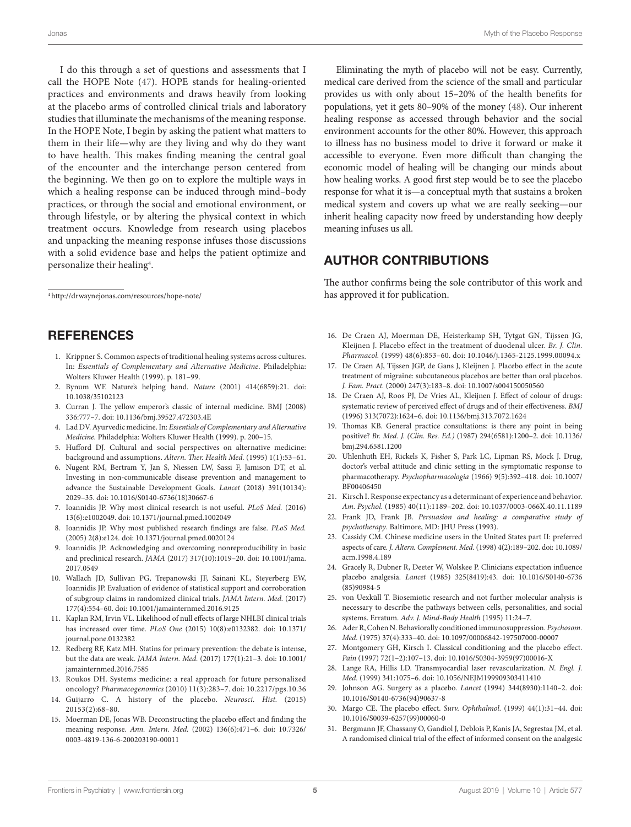I do this through a set of questions and assessments that I call the HOPE Note ([47\)](#page-5-14). HOPE stands for healing-oriented practices and environments and draws heavily from looking at the placebo arms of controlled clinical trials and laboratory studies that illuminate the mechanisms of the meaning response. In the HOPE Note, I begin by asking the patient what matters to them in their life—why are they living and why do they want to have health. This makes finding meaning the central goal of the encounter and the interchange person centered from the beginning. We then go on to explore the multiple ways in which a healing response can be induced through mind–body practices, or through the social and emotional environment, or through lifestyle, or by altering the physical context in which treatment occurs. Knowledge from research using placebos and unpacking the meaning response infuses those discussions with a solid evidence base and helps the patient optimize and personalize their healing4.

4<http://drwaynejonas.com/resources/hope-note/>

#### **REFERENCES**

- <span id="page-4-0"></span>1. Krippner S. Common aspects of traditional healing systems across cultures. In: *Essentials of Complementary and Alternative Medicine*. Philadelphia: Wolters Kluwer Health (1999). p. 181–99.
- <span id="page-4-1"></span>2. Bynum WF. Nature's helping hand. *Nature* (2001) 414(6859):21. doi: [10.1038/35102123](https://doi.org/10.1038/35102123)
- <span id="page-4-2"></span>3. Curran J. The yellow emperor's classic of internal medicine. BMJ (2008) 336:777–7. doi: [10.1136/bmj.39527.472303.4E](https://doi.org/10.1136/bmj.39527.472303.4E)
- <span id="page-4-3"></span>4. Lad DV. Ayurvedic medicine. In: *Essentials of Complementary and Alternative Medicine.* Philadelphia: Wolters Kluwer Health (1999). p. 200–15.
- <span id="page-4-4"></span>5. Hufford DJ. Cultural and social perspectives on alternative medicine: background and assumptions. *Altern. Ther. Health Med.* (1995) 1(1):53–61.
- <span id="page-4-5"></span>6. Nugent RM, Bertram Y, Jan S, Niessen LW, Sassi F, Jamison DT, et al. Investing in non-communicable disease prevention and management to advance the Sustainable Development Goals. *Lancet* (2018) 391(10134): 2029–35. doi: [10.1016/S0140-6736\(18\)30667-6](https://doi.org/10.1016/S0140-6736(18)30667-6)
- <span id="page-4-6"></span>7. Ioannidis JP. Why most clinical research is not useful. *PLoS Med.* (2016) 13(6):e1002049. doi: [10.1371/journal.pmed.1002049](https://doi.org/10.1371/journal.pmed.1002049)
- 8. Ioannidis JP. Why most published research findings are false. *PLoS Med.* (2005) 2(8):e124. doi: [10.1371/journal.pmed.0020124](https://doi.org/10.1371/journal.pmed.0020124)
- 9. Ioannidis JP. Acknowledging and overcoming nonreproducibility in basic and preclinical research. *JAMA* (2017) 317(10):1019–20. doi: [10.1001/jama.](https://doi.org/10.1001/jama.2017.0549) [2017.0549](https://doi.org/10.1001/jama.2017.0549)
- <span id="page-4-7"></span>10. Wallach JD, Sullivan PG, Trepanowski JF, Sainani KL, Steyerberg EW, Ioannidis JP. Evaluation of evidence of statistical support and corroboration of subgroup claims in randomized clinical trials. *JAMA Intern. Med.* (2017) 177(4):554–60. doi: [10.1001/jamainternmed.2016.9125](https://doi.org/10.1001/jamainternmed.2016.9125)
- <span id="page-4-8"></span>11. Kaplan RM, Irvin VL. Likelihood of null effects of large NHLBI clinical trials has increased over time. *PLoS One* (2015) 10(8):e0132382. doi: [10.1371/](https://doi.org/10.1371/journal.pone.0132382) [journal.pone.0132382](https://doi.org/10.1371/journal.pone.0132382)
- <span id="page-4-9"></span>12. Redberg RF, Katz MH. Statins for primary prevention: the debate is intense, but the data are weak. *JAMA Intern. Med.* (2017) 177(1):21–3. doi: [10.1001/](https://doi.org/10.1001/jamainternmed.2016.7585) [jamainternmed.2016.7585](https://doi.org/10.1001/jamainternmed.2016.7585)
- <span id="page-4-10"></span>13. Roukos DH. Systems medicine: a real approach for future personalized oncology? *Pharmacogenomics* (2010) 11(3):283–7. doi: [10.2217/pgs.10.36](https://doi.org/10.2217/pgs.10.36)
- <span id="page-4-11"></span>14. Guijarro C. A history of the placebo. *Neurosci. Hist.* (2015) 20153(2):68–80.
- <span id="page-4-12"></span>15. Moerman DE, Jonas WB. Deconstructing the placebo effect and finding the meaning response. *Ann. Intern. Med.* (2002) 136(6):471–6. doi: [10.7326/](https://doi.org/10.7326/0003-4819-136-6-200203190-00011) [0003-4819-136-6-200203190-00011](https://doi.org/10.7326/0003-4819-136-6-200203190-00011)

Eliminating the myth of placebo will not be easy. Currently, medical care derived from the science of the small and particular provides us with only about 15–20% of the health benefits for populations, yet it gets 80–90% of the money ([48\)](#page-5-15). Our inherent healing response as accessed through behavior and the social environment accounts for the other 80%. However, this approach to illness has no business model to drive it forward or make it accessible to everyone. Even more difficult than changing the economic model of healing will be changing our minds about how healing works. A good first step would be to see the placebo response for what it is—a conceptual myth that sustains a broken medical system and covers up what we are really seeking—our inherit healing capacity now freed by understanding how deeply meaning infuses us all.

#### AUTHOR CONTRIBUTIONS

The author confirms being the sole contributor of this work and has approved it for publication.

- <span id="page-4-13"></span>16. De Craen AJ, Moerman DE, Heisterkamp SH, Tytgat GN, Tijssen JG, Kleijnen J. Placebo effect in the treatment of duodenal ulcer. *Br. J. Clin. Pharmacol.* (1999) 48(6):853–60. doi: [10.1046/j.1365-2125.1999.00094.x](https://doi.org/10.1046/j.1365-2125.1999.00094.x)
- <span id="page-4-14"></span>17. De Craen AJ, Tijssen JGP, de Gans J, Kleijnen J. Placebo effect in the acute treatment of migraine: subcutaneous placebos are better than oral placebos. *J. Fam. Pract.* (2000) 247(3):183–8. doi: [10.1007/s004150050560](https://doi.org/10.1007/s004150050560)
- <span id="page-4-15"></span>18. De Craen AJ, Roos PJ, De Vries AL, Kleijnen J. Effect of colour of drugs: systematic review of perceived effect of drugs and of their effectiveness. *BMJ* (1996) 313(7072):1624–6. doi: [10.1136/bmj.313.7072.1624](https://doi.org/10.1136/bmj.313.7072.1624)
- <span id="page-4-16"></span>19. Thomas KB. General practice consultations: is there any point in being positive? *Br. Med. J. (Clin. Res. Ed.)* (1987) 294(6581):1200–2. doi: [10.1136/](https://doi.org/10.1136/bmj.294.6581.1200) [bmj.294.6581.1200](https://doi.org/10.1136/bmj.294.6581.1200)
- <span id="page-4-17"></span>20. Uhlenhuth EH, Rickels K, Fisher S, Park LC, Lipman RS, Mock J. Drug, doctor's verbal attitude and clinic setting in the symptomatic response to pharmacotherapy. *Psychopharmacologia* (1966) 9(5):392–418. doi: [10.1007/](https://doi.org/10.1007/BF00406450) [BF00406450](https://doi.org/10.1007/BF00406450)
- <span id="page-4-18"></span>21. Kirsch I. Response expectancy as a determinant of experience and behavior. *Am. Psychol.* (1985) 40(11):1189–202. doi: [10.1037/0003-066X.40.11.1189](https://doi.org/10.1037/0003-066X.40.11.1189)
- 22. Frank JD, Frank JB. *Persuasion and healing: a comparative study of psychotherapy*. Baltimore, MD: JHU Press (1993).
- <span id="page-4-19"></span>23. Cassidy CM. Chinese medicine users in the United States part II: preferred aspects of care. *J. Altern. Complement. Med.* (1998) 4(2):189–202. doi: [10.1089/](https://doi.org/10.1089/acm.1998.4.189) [acm.1998.4.189](https://doi.org/10.1089/acm.1998.4.189)
- <span id="page-4-20"></span>24. Gracely R, Dubner R, Deeter W, Wolskee P. Clinicians expectation influence placebo analgesia. *Lancet* (1985) 325(8419):43. doi: [10.1016/S0140-6736](https://doi.org/10.1016/S0140-6736(85)90984-5) [\(85\)90984-5](https://doi.org/10.1016/S0140-6736(85)90984-5)
- <span id="page-4-21"></span>25. von Uexküll T. Biosemiotic research and not further molecular analysis is necessary to describe the pathways between cells, personalities, and social systems. Erratum. *Adv. J. Mind-Body Health* (1995) 11:24–7.
- <span id="page-4-22"></span>26. Ader R, Cohen N. Behaviorally conditioned immunosuppression. *Psychosom. Med.* (1975) 37(4):333–40. doi: [10.1097/00006842-197507000-00007](https://doi.org/10.1097/00006842-197507000-00007)
- <span id="page-4-23"></span>27. Montgomery GH, Kirsch I. Classical conditioning and the placebo effect. *Pain* (1997) 72(1–2):107–13. doi: [10.1016/S0304-3959\(97\)00016-X](https://doi.org/10.1016/S0304-3959(97)00016-X)
- <span id="page-4-24"></span>28. Lange RA, Hillis LD. Transmyocardial laser revascularization. *N. Engl. J. Med.* (1999) 341:1075–6. doi: [10.1056/NEJM199909303411410](https://doi.org/10.1056/NEJM199909303411410)
- 29. Johnson AG. Surgery as a placebo. *Lancet* (1994) 344(8930):1140–2. doi: [10.1016/S0140-6736\(94\)90637-8](https://doi.org/10.1016/S0140-6736(94)90637-8)
- <span id="page-4-25"></span>30. Margo CE. The placebo effect. *Surv. Ophthalmol.* (1999) 44(1):31–44. doi: [10.1016/S0039-6257\(99\)00060-0](https://doi.org/10.1016/S0039-6257(99)00060-0)
- <span id="page-4-26"></span>31. Bergmann JF, Chassany O, Gandiol J, Deblois P, Kanis JA, Segrestaa JM, et al. A randomised clinical trial of the effect of informed consent on the analgesic